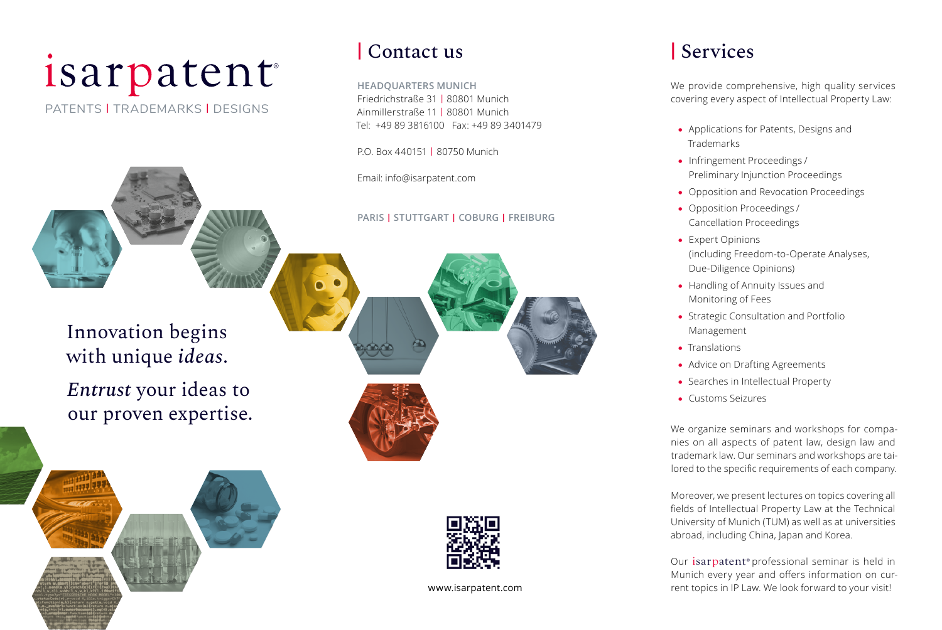# isarpatent

PATENTS | TRADEMARKS | DESIGNS



Innovation begins with unique *ideas*. *Entrust* your ideas to our proven expertise.



# **|** Contact us

**HEADQUARTERS MUNICH**  Friedrichstraße 31 | 80801 Munich Ainmillerstraße 11 | 80801 Munich Tel: +49 89 3816100 Fax: +49 89 3401479

P.O. Box 440151 | 80750 Munich

Email: info@isarpatent.com

**PARIS | STUTTGART | COBURG | FREIBURG**







www.isarpatent.com

# **|** Services

We provide comprehensive, high quality services covering every aspect of Intellectual Property Law:

- Applications for Patents, Designs and Trademarks
- Infringement Proceedings /  Preliminary Injunction Proceedings
- Opposition and Revocation Proceedings
- Opposition Proceedings /  Cancellation Proceedings
- Expert Opinions (including Freedom-to-Operate Analyses, Due-Diligence Opinions)
- Handling of Annuity Issues and Monitoring of Fees
- Strategic Consultation and Portfolio Management
- Translations
- Advice on Drafting Agreements
- Searches in Intellectual Property
- Customs Seizures

We organize seminars and workshops for companies on all aspects of patent law, design law and trademark law. Our seminars and workshops are tailored to the specific requirements of each company.

Moreover, we present lectures on topics covering all fields of Intellectual Property Law at the Technical University of Munich (TUM) as well as at universities abroad, including China, Japan and Korea.

Our isarpatent<sup>®</sup> professional seminar is held in Munich every year and offers information on current topics in IP Law. We look forward to your visit!